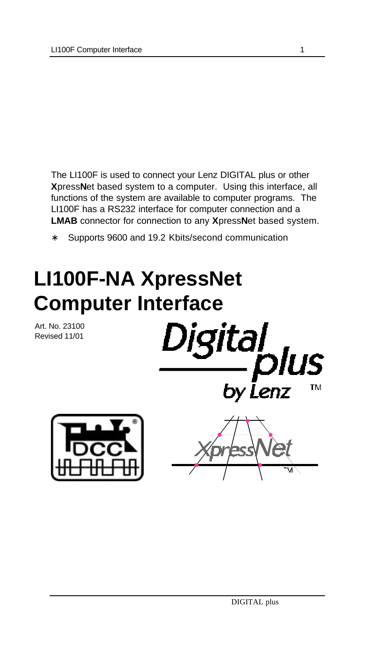The LI100F is used to connect your Lenz DIGITAL plus or other **X**press**N**et based system to a computer. Using this interface, all functions of the system are available to computer programs. The LI100F has a RS232 interface for computer connection and a **LMAB** connector for connection to any **X**press**N**et based system.

Supports 9600 and 19.2 Kbits/second communication

# **LI100F-NA XpressNet Computer Interface**

Art. No. 23100 Revised 11/01

Digital<br>by Lenz



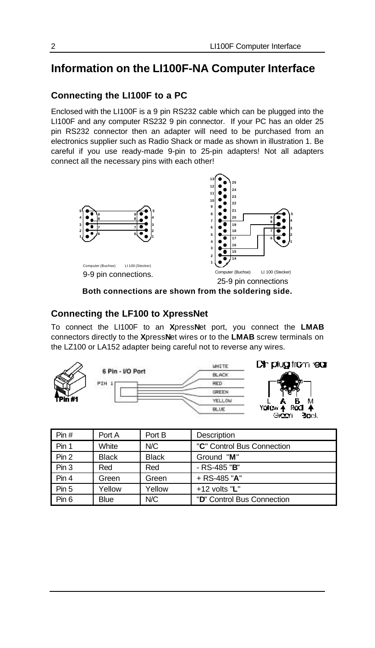# **Information on the LI100F-NA Computer Interface**

#### **Connecting the LI100F to a PC**

Enclosed with the LI100F is a 9 pin RS232 cable which can be plugged into the LI100F and any computer RS232 9 pin connector. If your PC has an older 25 pin RS232 connector then an adapter will need to be purchased from an electronics supplier such as Radio Shack or made as shown in illustration 1. Be careful if you use ready-made 9-pin to 25-pin adapters! Not all adapters connect all the necessary pins with each other!



**Both connections are shown from the soldering side.**

#### **Connecting the LF100 to XpressNet**

To connect the LI100F to an **X**press**N**et port, you connect the **LMAB** connectors directly to the **X**press**N**et wires or to the **LMAB** screw terminals on the LZ100 or LA152 adapter being careful not to reverse any wires.



| Pin#  | Port A       | Port B       | Description                |
|-------|--------------|--------------|----------------------------|
| Pin 1 | White        | N/C          | "C" Control Bus Connection |
| Pin 2 | <b>Black</b> | <b>Black</b> | Ground "M"                 |
| Pin 3 | Red          | Red          | $-$ RS-485 "B"             |
| Pin 4 | Green        | Green        | $+$ RS-485 "A"             |
| Pin 5 | Yellow       | Yellow       | $+12$ volts "L"            |
| Pin 6 | <b>Blue</b>  | N/C          | "D" Control Bus Connection |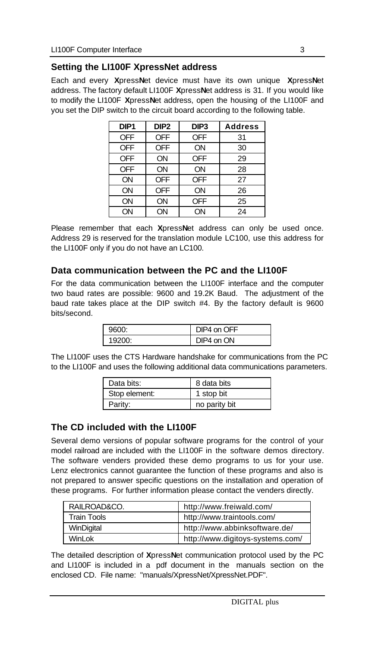# **Setting the LI100F XpressNet address**

Each and every **X**press**N**et device must have its own unique **X**press**N**et address. The factory default LI100F **X**press**N**et address is 31. If you would like to modify the LI100F **X**press**N**et address, open the housing of the LI100F and you set the DIP switch to the circuit board according to the following table.

| DIP <sub>1</sub> | DIP <sub>2</sub> | DIP <sub>3</sub> | <b>Address</b> |
|------------------|------------------|------------------|----------------|
| <b>OFF</b>       | <b>OFF</b>       | <b>OFF</b>       | 31             |
| <b>OFF</b>       | <b>OFF</b>       | ON               | 30             |
| <b>OFF</b>       | ON               | <b>OFF</b>       | 29             |
| <b>OFF</b>       | ON               | ON               | 28             |
| ON               | <b>OFF</b>       | <b>OFF</b>       | 27             |
| ON               | <b>OFF</b>       | ON               | 26             |
| ON               | ON               | <b>OFF</b>       | 25             |
| ON               | ON               | ON               | 24             |

Please remember that each **X**press**N**et address can only be used once. Address 29 is reserved for the translation module LC100, use this address for the LI100F only if you do not have an LC100.

### **Data communication between the PC and the LI100F**

For the data communication between the LI100F interface and the computer two baud rates are possible: 9600 and 19.2K Baud. The adjustment of the baud rate takes place at the DIP switch #4. By the factory default is 9600 bits/second.

| arna   | on OFF<br>ZI. |
|--------|---------------|
| 19200. | on ON         |

The LI100F uses the CTS Hardware handshake for communications from the PC to the LI100F and uses the following additional data communications parameters.

| Data bits:    | 8 data bits   |
|---------------|---------------|
| Stop element: | 1 stop bit    |
| Parity:       | no parity bit |

# **The CD included with the LI100F**

Several demo versions of popular software programs for the control of your model railroad are included with the LI100F in the software demos directory. The software venders provided these demo programs to us for your use. Lenz electronics cannot guarantee the function of these programs and also is not prepared to answer specific questions on the installation and operation of these programs. For further information please contact the venders directly.

| RAILROAD&CO. | http://www.freiwald.com/         |
|--------------|----------------------------------|
| Train Tools  | http://www.traintools.com/       |
| WinDigital   | http://www.abbinksoftware.de/    |
| Winl ok      | http://www.digitoys-systems.com/ |

The detailed description of **X**press**N**et communication protocol used by the PC and LI100F is included in a pdf document in the manuals section on the enclosed CD. File name: "manuals/XpressNet/XpressNet.PDF".